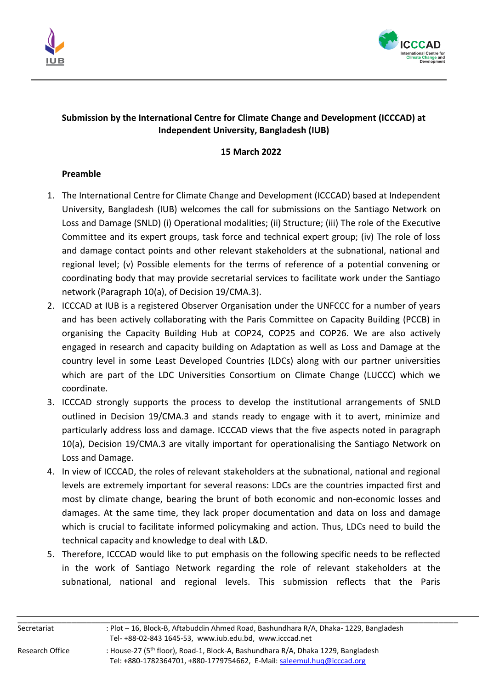



## **Submission by the International Centre for Climate Change and Development (ICCCAD) at Independent University, Bangladesh (IUB)**

## **15 March 2022**

## **Preamble**

- 1. The International Centre for Climate Change and Development (ICCCAD) based at Independent University, Bangladesh (IUB) welcomes the call for submissions on the Santiago Network on Loss and Damage (SNLD) (i) Operational modalities; (ii) Structure; (iii) The role of the Executive Committee and its expert groups, task force and technical expert group; (iv) The role of loss and damage contact points and other relevant stakeholders at the subnational, national and regional level; (v) Possible elements for the terms of reference of a potential convening or coordinating body that may provide secretarial services to facilitate work under the Santiago network (Paragraph 10(a), of Decision 19/CMA.3).
- 2. ICCCAD at IUB is a registered Observer Organisation under the UNFCCC for a number of years and has been actively collaborating with the Paris Committee on Capacity Building (PCCB) in organising the Capacity Building Hub at COP24, COP25 and COP26. We are also actively engaged in research and capacity building on Adaptation as well as Loss and Damage at the country level in some Least Developed Countries (LDCs) along with our partner universities which are part of the LDC Universities Consortium on Climate Change (LUCCC) which we coordinate.
- 3. ICCCAD strongly supports the process to develop the institutional arrangements of SNLD outlined in Decision 19/CMA.3 and stands ready to engage with it to avert, minimize and particularly address loss and damage. ICCCAD views that the five aspects noted in paragraph 10(a), Decision 19/CMA.3 are vitally important for operationalising the Santiago Network on Loss and Damage.
- 4. In view of ICCCAD, the roles of relevant stakeholders at the subnational, national and regional levels are extremely important for several reasons: LDCs are the countries impacted first and most by climate change, bearing the brunt of both economic and non-economic losses and damages. At the same time, they lack proper documentation and data on loss and damage which is crucial to facilitate informed policymaking and action. Thus, LDCs need to build the technical capacity and knowledge to deal with L&D.
- 5. Therefore, ICCCAD would like to put emphasis on the following specific needs to be reflected in the work of Santiago Network regarding the role of relevant stakeholders at the subnational, national and regional levels. This submission reflects that the Paris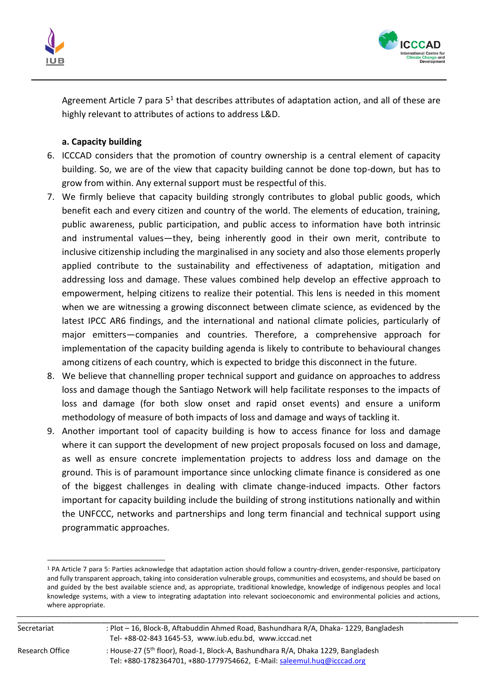



Agreement Article 7 para  $5<sup>1</sup>$  that describes attributes of adaptation action, and all of these are highly relevant to attributes of actions to address L&D.

# **a. Capacity building**

- 6. ICCCAD considers that the promotion of country ownership is a central element of capacity building. So, we are of the view that capacity building cannot be done top-down, but has to grow from within. Any external support must be respectful of this.
- 7. We firmly believe that capacity building strongly contributes to global public goods, which benefit each and every citizen and country of the world. The elements of education, training, public awareness, public participation, and public access to information have both intrinsic and instrumental values—they, being inherently good in their own merit, contribute to inclusive citizenship including the marginalised in any society and also those elements properly applied contribute to the sustainability and effectiveness of adaptation, mitigation and addressing loss and damage. These values combined help develop an effective approach to empowerment, helping citizens to realize their potential. This lens is needed in this moment when we are witnessing a growing disconnect between climate science, as evidenced by the latest IPCC AR6 findings, and the international and national climate policies, particularly of major emitters—companies and countries. Therefore, a comprehensive approach for implementation of the capacity building agenda is likely to contribute to behavioural changes among citizens of each country, which is expected to bridge this disconnect in the future.
- 8. We believe that channelling proper technical support and guidance on approaches to address loss and damage though the Santiago Network will help facilitate responses to the impacts of loss and damage (for both slow onset and rapid onset events) and ensure a uniform methodology of measure of both impacts of loss and damage and ways of tackling it.
- 9. Another important tool of capacity building is how to access finance for loss and damage where it can support the development of new project proposals focused on loss and damage, as well as ensure concrete implementation projects to address loss and damage on the ground. This is of paramount importance since unlocking climate finance is considered as one of the biggest challenges in dealing with climate change-induced impacts. Other factors important for capacity building include the building of strong institutions nationally and within the UNFCCC, networks and partnerships and long term financial and technical support using programmatic approaches.

<sup>&</sup>lt;sup>1</sup> PA Article 7 para 5: Parties acknowledge that adaptation action should follow a country-driven, gender-responsive, participatory and fully transparent approach, taking into consideration vulnerable groups, communities and ecosystems, and should be based on and guided by the best available science and, as appropriate, traditional knowledge, knowledge of indigenous peoples and local knowledge systems, with a view to integrating adaptation into relevant socioeconomic and environmental policies and actions, where appropriate.

| Secretariat | · Plot – 16, Block-B, Aftabuddin Ahmed Road, Bashundhara R/A, Dhaka- 1229, Bangladesh |
|-------------|---------------------------------------------------------------------------------------|

Research Office : House-27 (5<sup>th</sup> floor), Road-1, Block-A, Bashundhara R/A, Dhaka 1229, Bangladesh Tel: +880-1782364701, +880-1779754662, E-Mail[: saleemul.huq@icccad.org](mailto:saleemul.huq@icccad.org)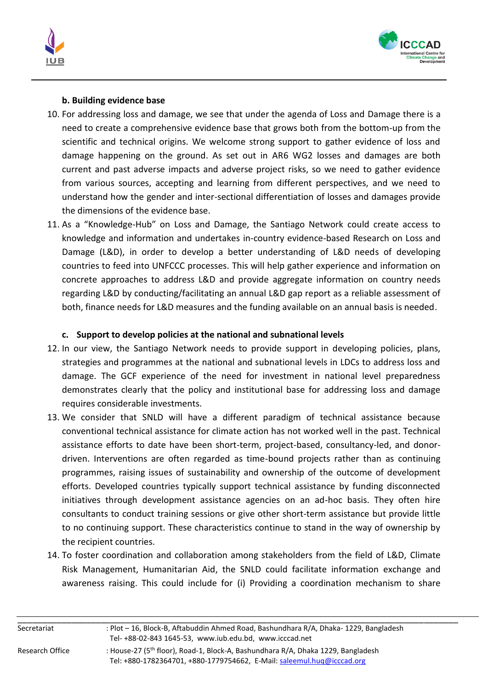



## **b. Building evidence base**

- 10. For addressing loss and damage, we see that under the agenda of Loss and Damage there is a need to create a comprehensive evidence base that grows both from the bottom-up from the scientific and technical origins. We welcome strong support to gather evidence of loss and damage happening on the ground. As set out in AR6 WG2 losses and damages are both current and past adverse impacts and adverse project risks, so we need to gather evidence from various sources, accepting and learning from different perspectives, and we need to understand how the gender and inter-sectional differentiation of losses and damages provide the dimensions of the evidence base.
- 11. As a "Knowledge-Hub" on Loss and Damage, the Santiago Network could create access to knowledge and information and undertakes in-country evidence-based Research on Loss and Damage (L&D), in order to develop a better understanding of L&D needs of developing countries to feed into UNFCCC processes. This will help gather experience and information on concrete approaches to address L&D and provide aggregate information on country needs regarding L&D by conducting/facilitating an annual L&D gap report as a reliable assessment of both, finance needs for L&D measures and the funding available on an annual basis is needed.

# **c. Support to develop policies at the national and subnational levels**

- 12. In our view, the Santiago Network needs to provide support in developing policies, plans, strategies and programmes at the national and subnational levels in LDCs to address loss and damage. The GCF experience of the need for investment in national level preparedness demonstrates clearly that the policy and institutional base for addressing loss and damage requires considerable investments.
- 13. We consider that SNLD will have a different paradigm of technical assistance because conventional technical assistance for climate action has not worked well in the past. Technical assistance efforts to date have been short-term, project-based, consultancy-led, and donordriven. Interventions are often regarded as time-bound projects rather than as continuing programmes, raising issues of sustainability and ownership of the outcome of development efforts. Developed countries typically support technical assistance by funding disconnected initiatives through development assistance agencies on an ad-hoc basis. They often hire consultants to conduct training sessions or give other short-term assistance but provide little to no continuing support. These characteristics continue to stand in the way of ownership by the recipient countries.
- 14. To foster coordination and collaboration among stakeholders from the field of L&D, Climate Risk Management, Humanitarian Aid, the SNLD could facilitate information exchange and awareness raising. This could include for (i) Providing a coordination mechanism to share